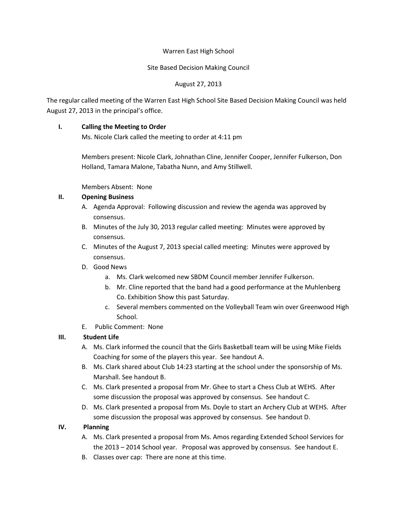## Warren East High School

## Site Based Decision Making Council

# August 27, 2013

The regular called meeting of the Warren East High School Site Based Decision Making Council was held August 27, 2013 in the principal's office.

# **I. Calling the Meeting to Order**

Ms. Nicole Clark called the meeting to order at 4:11 pm

Members present: Nicole Clark, Johnathan Cline, Jennifer Cooper, Jennifer Fulkerson, Don Holland, Tamara Malone, Tabatha Nunn, and Amy Stillwell.

Members Absent: None

## **II. Opening Business**

- A. Agenda Approval: Following discussion and review the agenda was approved by consensus.
- B. Minutes of the July 30, 2013 regular called meeting: Minutes were approved by consensus.
- C. Minutes of the August 7, 2013 special called meeting: Minutes were approved by consensus.
- D. Good News
	- a. Ms. Clark welcomed new SBDM Council member Jennifer Fulkerson.
	- b. Mr. Cline reported that the band had a good performance at the Muhlenberg Co. Exhibition Show this past Saturday.
	- c. Several members commented on the Volleyball Team win over Greenwood High School.
- E. Public Comment: None

# **III. Student Life**

- A. Ms. Clark informed the council that the Girls Basketball team will be using Mike Fields Coaching for some of the players this year. See handout A.
- B. Ms. Clark shared about Club 14:23 starting at the school under the sponsorship of Ms. Marshall. See handout B.
- C. Ms. Clark presented a proposal from Mr. Ghee to start a Chess Club at WEHS. After some discussion the proposal was approved by consensus. See handout C.
- D. Ms. Clark presented a proposal from Ms. Doyle to start an Archery Club at WEHS. After some discussion the proposal was approved by consensus. See handout D.

# **IV. Planning**

- A. Ms. Clark presented a proposal from Ms. Amos regarding Extended School Services for the 2013 – 2014 School year. Proposal was approved by consensus. See handout E.
- B. Classes over cap: There are none at this time.